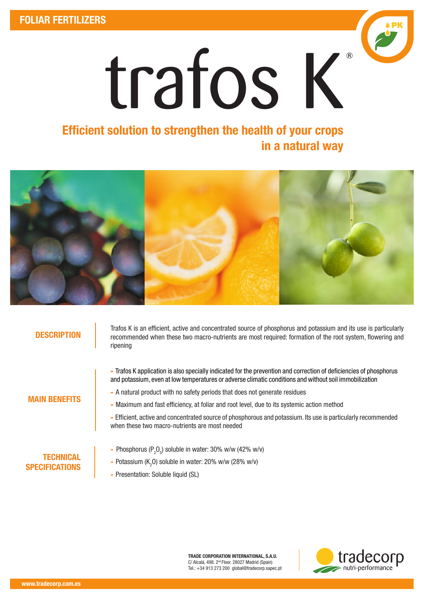

# Efficient solution to strengthen the health of your crops in a natural way



### **DESCRIPTION**

Trafos K is an efficient, active and concentrated source of phosphorus and potassium and its use is particularly recommended when these two macro-nutrients are most required: formation of the root system, flowering and ripening

- Trafos K application is also specially indicated for the prevention and correction of deficiencies of phosphorus

MAIN BENEFITS

- and potassium, even at low temperatures or adverse climatic conditions and without soil immobilization - A natural product with no safety periods that does not generate residues
- Maximum and fast efficiency, at foliar and root level, due to its systemic action method
- Efficient, active and concentrated source of phosphorous and potassium. Its use is particularly recommended when these two macro-nutrients are most needed

## **TECHNICAL SPECIFICATIONS**

- Phosphorus ( $P_2O_5$ ) soluble in water: 30% w/w (42% w/v)
- Potassium (K<sub>2</sub>O) soluble in water: 20% w/w (28% w/v)
- Presentation: Soluble liquid (SL)

TRADE CORPORATION INTERNATIONAL, S.A.U. C/ Alcalá, 498. 2nd Floor. 28027 Madrid (Spain) Tel.: +34 913 273 200 global@tradecorp.sapec.pt